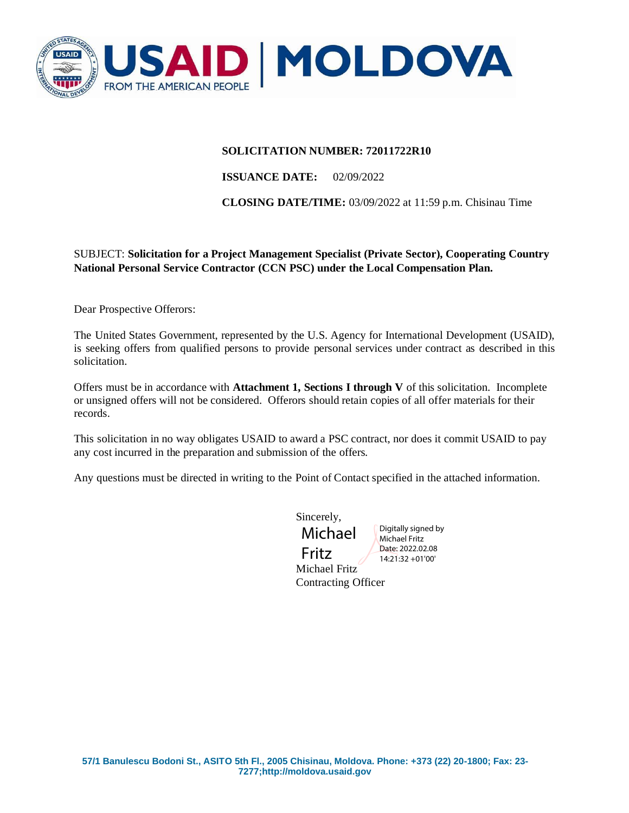

#### **SOLICITATION NUMBER: 72011722R10**

#### **ISSUANCE DATE:** 02/09/2022

**CLOSING DATE/TIME:** 03/09/2022 at 11:59 p.m. Chisinau Time

## SUBJECT: **Solicitation for a Project Management Specialist (Private Sector), Cooperating Country National Personal Service Contractor (CCN PSC) under the Local Compensation Plan.**

Dear Prospective Offerors:

The United States Government, represented by the U.S. Agency for International Development (USAID), is seeking offers from qualified persons to provide personal services under contract as described in this solicitation.

Offers must be in accordance with **Attachment 1, Sections I through V** of this solicitation. Incomplete or unsigned offers will not be considered. Offerors should retain copies of all offer materials for their records.

This solicitation in no way obligates USAID to award a PSC contract, nor does it commit USAID to pay any cost incurred in the preparation and submission of the offers.

Any questions must be directed in writing to the Point of Contact specified in the attached information.

Sincerely,

Fritz

Michael

Digitally signed by Michael Fritz Date: 2022.02.08 14:21:32 +01'00'

Michael Fritz Contracting Officer

**57/1 Banulescu Bodoni St., ASITO 5th Fl., 2005 Chisinau, Moldova. Phone: +373 (22) 20-1800; Fax: 23- 7277;http://moldova.usaid.gov**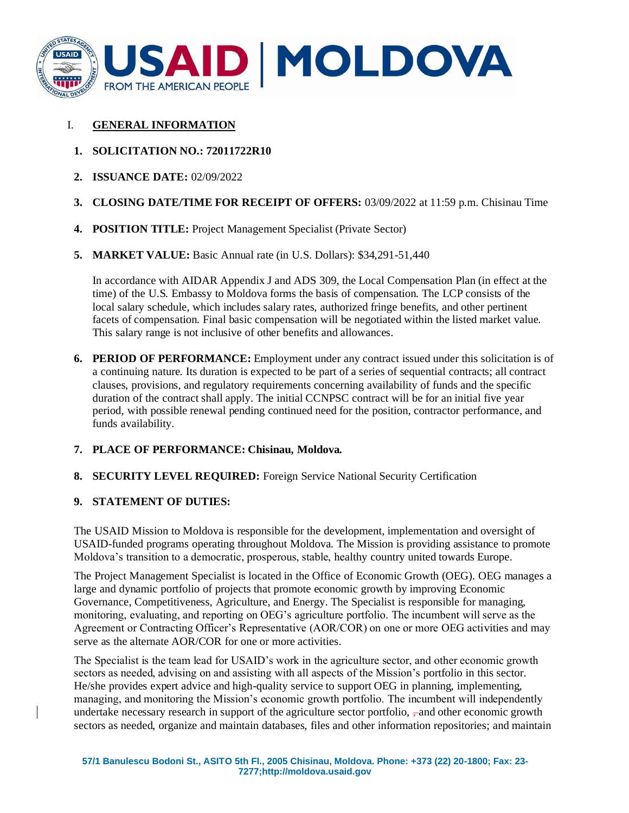

## I. **GENERAL INFORMATION**

- **1. SOLICITATION NO.: 72011722R10**
- **2. ISSUANCE DATE:** 02/09/2022
- **3. CLOSING DATE/TIME FOR RECEIPT OF OFFERS:** 03/09/2022 at 11:59 p.m. Chisinau Time
- **4. POSITION TITLE:** Project Management Specialist (Private Sector)
- **5. MARKET VALUE:** Basic Annual rate (in U.S. Dollars): \$34,291-51,440

In accordance with AIDAR Appendix J and ADS 309, the Local Compensation Plan (in effect at the time) of the U.S. Embassy to Moldova forms the basis of compensation. The LCP consists of the local salary schedule, which includes salary rates, authorized fringe benefits, and other pertinent facets of compensation. Final basic compensation will be negotiated within the listed market value. This salary range is not inclusive of other benefits and allowances.

- **6. PERIOD OF PERFORMANCE:** Employment under any contract issued under this solicitation is of a continuing nature. Its duration is expected to be part of a series of sequential contracts; all contract clauses, provisions, and regulatory requirements concerning availability of funds and the specific duration of the contract shall apply. The initial CCNPSC contract will be for an initial five year period, with possible renewal pending continued need for the position, contractor performance, and funds availability.
- **7. PLACE OF PERFORMANCE: Chisinau, Moldova.**
- **8. SECURITY LEVEL REQUIRED:** Foreign Service National Security Certification

#### **9. STATEMENT OF DUTIES:**

The USAID Mission to Moldova is responsible for the development, implementation and oversight of USAID-funded programs operating throughout Moldova. The Mission is providing assistance to promote Moldova's transition to a democratic, prosperous, stable, healthy country united towards Europe.

The Project Management Specialist is located in the Office of Economic Growth (OEG). OEG manages a large and dynamic portfolio of projects that promote economic growth by improving Economic Governance, Competitiveness, Agriculture, and Energy. The Specialist is responsible for managing, monitoring, evaluating, and reporting on OEG's agriculture portfolio. The incumbent will serve as the Agreement or Contracting Officer's Representative (AOR/COR) on one or more OEG activities and may serve as the alternate AOR/COR for one or more activities.

The Specialist is the team lead for USAID's work in the agriculture sector, and other economic growth sectors as needed, advising on and assisting with all aspects of the Mission's portfolio in this sector. He/she provides expert advice and high-quality service to support OEG in planning, implementing, managing, and monitoring the Mission's economic growth portfolio. The incumbent will independently undertake necessary research in support of the agriculture sector portfolio,  $\frac{1}{2}$  and other economic growth sectors as needed, organize and maintain databases, files and other information repositories; and maintain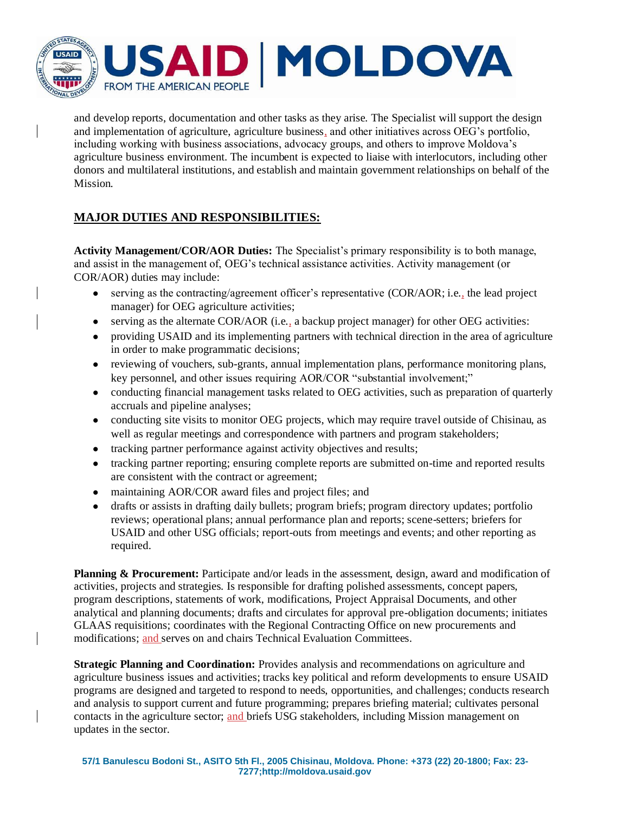

and develop reports, documentation and other tasks as they arise. The Specialist will support the design and implementation of agriculture, agriculture business, and other initiatives across OEG's portfolio, including working with business associations, advocacy groups, and others to improve Moldova's agriculture business environment. The incumbent is expected to liaise with interlocutors, including other donors and multilateral institutions, and establish and maintain government relationships on behalf of the Mission.

# **MAJOR DUTIES AND RESPONSIBILITIES:**

**Activity Management/COR/AOR Duties:** The Specialist's primary responsibility is to both manage, and assist in the management of, OEG's technical assistance activities. Activity management (or COR/AOR) duties may include:

- serving as the contracting/agreement officer's representative (COR/AOR; i.e., the lead project manager) for OEG agriculture activities;
- serving as the alternate COR/AOR (i.e., a backup project manager) for other OEG activities:
- providing USAID and its implementing partners with technical direction in the area of agriculture in order to make programmatic decisions;
- reviewing of vouchers, sub-grants, annual implementation plans, performance monitoring plans, key personnel, and other issues requiring AOR/COR "substantial involvement;"
- conducting financial management tasks related to OEG activities, such as preparation of quarterly accruals and pipeline analyses;
- conducting site visits to monitor OEG projects, which may require travel outside of Chisinau, as well as regular meetings and correspondence with partners and program stakeholders;
- tracking partner performance against activity objectives and results;
- tracking partner reporting; ensuring complete reports are submitted on-time and reported results are consistent with the contract or agreement;
- maintaining AOR/COR award files and project files; and
- drafts or assists in drafting daily bullets; program briefs; program directory updates; portfolio reviews; operational plans; annual performance plan and reports; scene-setters; briefers for USAID and other USG officials; report-outs from meetings and events; and other reporting as required.

**Planning & Procurement:** Participate and/or leads in the assessment, design, award and modification of activities, projects and strategies. Is responsible for drafting polished assessments, concept papers, program descriptions, statements of work, modifications, Project Appraisal Documents, and other analytical and planning documents; drafts and circulates for approval pre-obligation documents; initiates GLAAS requisitions; coordinates with the Regional Contracting Office on new procurements and modifications; and serves on and chairs Technical Evaluation Committees.

**Strategic Planning and Coordination:** Provides analysis and recommendations on agriculture and agriculture business issues and activities; tracks key political and reform developments to ensure USAID programs are designed and targeted to respond to needs, opportunities, and challenges; conducts research and analysis to support current and future programming; prepares briefing material; cultivates personal contacts in the agriculture sector; and briefs USG stakeholders, including Mission management on updates in the sector.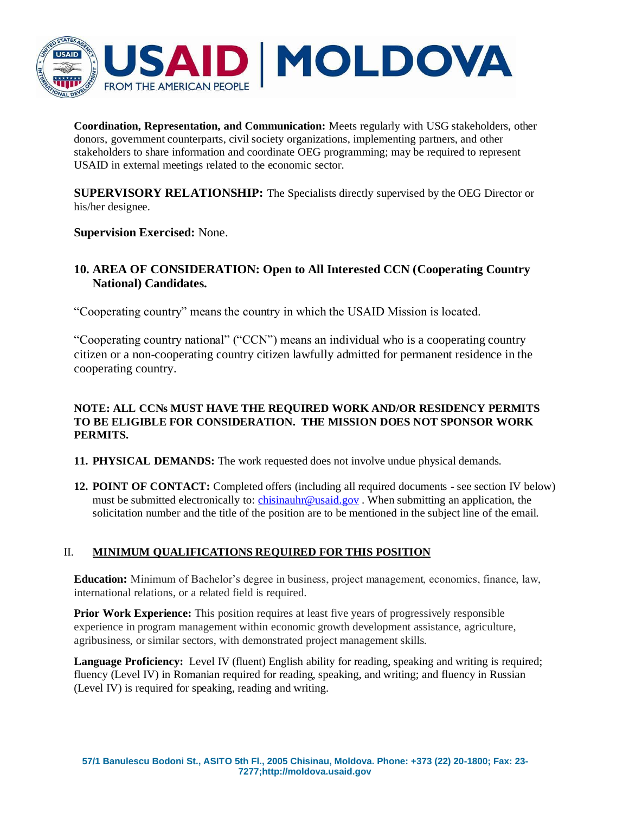

**Coordination, Representation, and Communication:** Meets regularly with USG stakeholders, other donors, government counterparts, civil society organizations, implementing partners, and other stakeholders to share information and coordinate OEG programming; may be required to represent USAID in external meetings related to the economic sector.

**SUPERVISORY RELATIONSHIP:** The Specialists directly supervised by the OEG Director or his/her designee.

**Supervision Exercised:** None.

# **10. AREA OF CONSIDERATION: Open to All Interested CCN (Cooperating Country National) Candidates.**

"Cooperating country" means the country in which the USAID Mission is located.

"Cooperating country national" ("CCN") means an individual who is a cooperating country citizen or a non-cooperating country citizen lawfully admitted for permanent residence in the cooperating country.

#### **NOTE: ALL CCNs MUST HAVE THE REQUIRED WORK AND/OR RESIDENCY PERMITS TO BE ELIGIBLE FOR CONSIDERATION. THE MISSION DOES NOT SPONSOR WORK PERMITS.**

- **11. PHYSICAL DEMANDS:** The work requested does not involve undue physical demands.
- **12. POINT OF CONTACT:** Completed offers (including all required documents see section IV below) must be submitted electronically to[: chisinauhr@usaid.gov](mailto:chisinauhr@usaid.gov) . When submitting an application, the solicitation number and the title of the position are to be mentioned in the subject line of the email.

#### II. **MINIMUM QUALIFICATIONS REQUIRED FOR THIS POSITION**

**Education:** Minimum of Bachelor's degree in business, project management, economics, finance, law, international relations, or a related field is required.

**Prior Work Experience:** This position requires at least five years of progressively responsible experience in program management within economic growth development assistance, agriculture, agribusiness, or similar sectors, with demonstrated project management skills.

**Language Proficiency:** Level IV (fluent) English ability for reading, speaking and writing is required; fluency (Level IV) in Romanian required for reading, speaking, and writing; and fluency in Russian (Level IV) is required for speaking, reading and writing.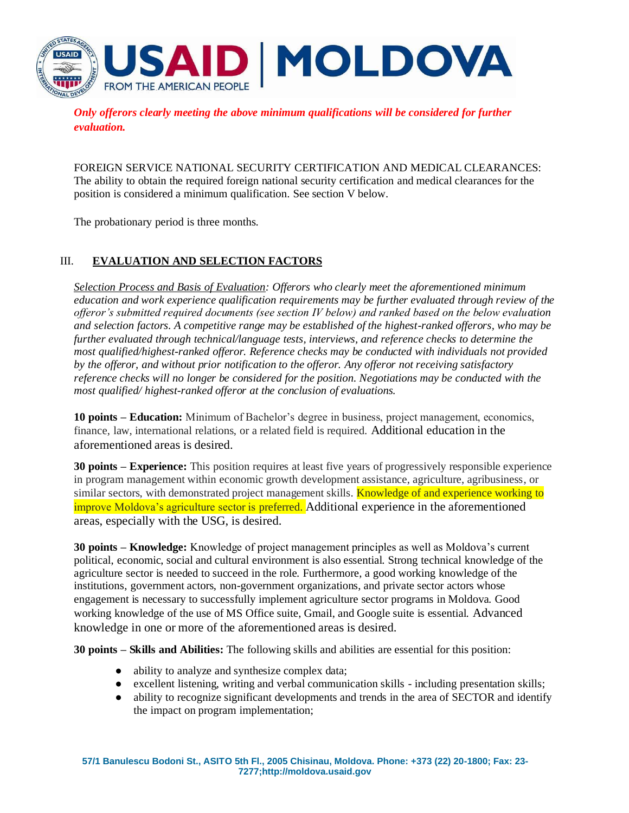

*Only offerors clearly meeting the above minimum qualifications will be considered for further evaluation.* 

FOREIGN SERVICE NATIONAL SECURITY CERTIFICATION AND MEDICAL CLEARANCES: The ability to obtain the required foreign national security certification and medical clearances for the position is considered a minimum qualification. See section V below.

The probationary period is three months.

## III. **EVALUATION AND SELECTION FACTORS**

*Selection Process and Basis of Evaluation: Offerors who clearly meet the aforementioned minimum education and work experience qualification requirements may be further evaluated through review of the offeror's submitted required documents (see section IV below) and ranked based on the below evaluation and selection factors. A competitive range may be established of the highest-ranked offerors, who may be further evaluated through technical/language tests, interviews, and reference checks to determine the most qualified/highest-ranked offeror. Reference checks may be conducted with individuals not provided by the offeror, and without prior notification to the offeror. Any offeror not receiving satisfactory reference checks will no longer be considered for the position. Negotiations may be conducted with the most qualified/ highest-ranked offeror at the conclusion of evaluations.*

**10 points – Education:** Minimum of Bachelor's degree in business, project management, economics, finance, law, international relations, or a related field is required. Additional education in the aforementioned areas is desired.

**30 points – Experience:** This position requires at least five years of progressively responsible experience in program management within economic growth development assistance, agriculture, agribusiness, or similar sectors, with demonstrated project management skills. **Knowledge of and experience working to** improve Moldova's agriculture sector is preferred. Additional experience in the aforementioned areas, especially with the USG, is desired.

**30 points – Knowledge:** Knowledge of project management principles as well as Moldova's current political, economic, social and cultural environment is also essential. Strong technical knowledge of the agriculture sector is needed to succeed in the role. Furthermore, a good working knowledge of the institutions, government actors, non-government organizations, and private sector actors whose engagement is necessary to successfully implement agriculture sector programs in Moldova. Good working knowledge of the use of MS Office suite, Gmail, and Google suite is essential. Advanced knowledge in one or more of the aforementioned areas is desired.

**30 points – Skills and Abilities:** The following skills and abilities are essential for this position:

- ability to analyze and synthesize complex data;
- excellent listening, writing and verbal communication skills including presentation skills;
- ability to recognize significant developments and trends in the area of SECTOR and identify the impact on program implementation;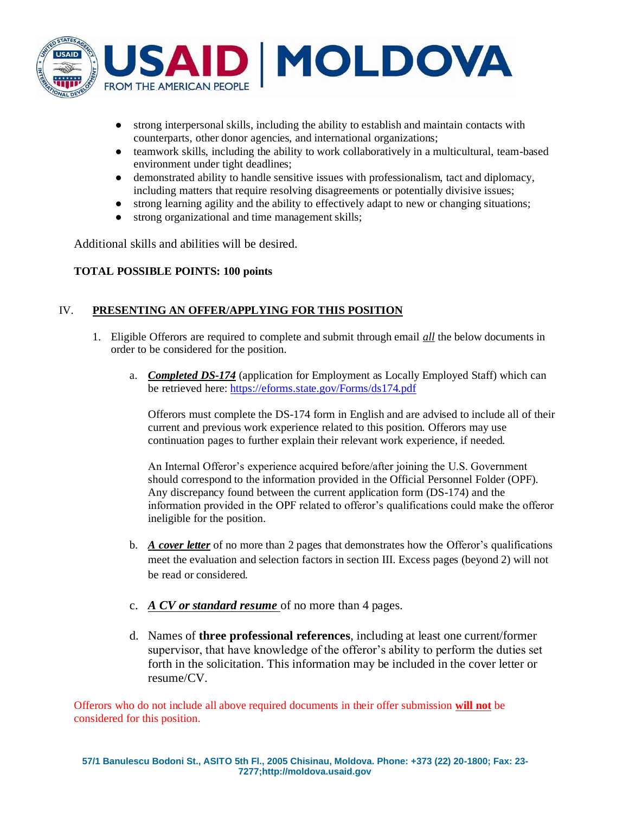

- strong interpersonal skills, including the ability to establish and maintain contacts with counterparts, other donor agencies, and international organizations;
- teamwork skills, including the ability to work collaboratively in a multicultural, team-based environment under tight deadlines;
- demonstrated ability to handle sensitive issues with professionalism, tact and diplomacy, including matters that require resolving disagreements or potentially divisive issues;
- strong learning agility and the ability to effectively adapt to new or changing situations;
- strong organizational and time management skills:

Additional skills and abilities will be desired.

## **TOTAL POSSIBLE POINTS: 100 points**

## IV. **PRESENTING AN OFFER/APPLYING FOR THIS POSITION**

- 1. Eligible Offerors are required to complete and submit through email *all* the below documents in order to be considered for the position.
	- a. *Completed DS-174* (application for Employment as Locally Employed Staff) which can be retrieved here[: https://eforms.state.gov/Forms/ds174.pdf](https://eforms.state.gov/Forms/ds174.pdf)

Offerors must complete the DS-174 form in English and are advised to include all of their current and previous work experience related to this position. Offerors may use continuation pages to further explain their relevant work experience, if needed.

An Internal Offeror's experience acquired before/after joining the U.S. Government should correspond to the information provided in the Official Personnel Folder (OPF). Any discrepancy found between the current application form (DS-174) and the information provided in the OPF related to offeror's qualifications could make the offeror ineligible for the position.

- b. *A cover letter* of no more than 2 pages that demonstrates how the Offeror's qualifications meet the evaluation and selection factors in section III. Excess pages (beyond 2) will not be read or considered.
- c. *A CV or standard resume* of no more than 4 pages.
- d. Names of **three professional references**, including at least one current/former supervisor, that have knowledge of the offeror's ability to perform the duties set forth in the solicitation. This information may be included in the cover letter or resume/CV.

Offerors who do not include all above required documents in their offer submission **will not** be considered for this position.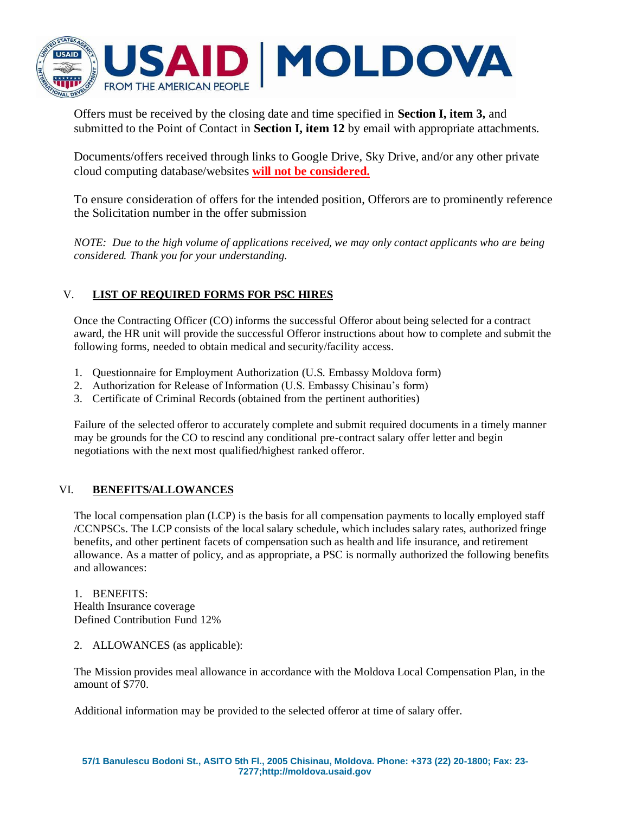

Offers must be received by the closing date and time specified in **Section I, item 3,** and submitted to the Point of Contact in **Section I, item 12** by email with appropriate attachments.

Documents/offers received through links to Google Drive, Sky Drive, and/or any other private cloud computing database/websites **will not be considered.** 

To ensure consideration of offers for the intended position, Offerors are to prominently reference the Solicitation number in the offer submission

*NOTE: Due to the high volume of applications received, we may only contact applicants who are being considered. Thank you for your understanding.*

## V. **LIST OF REQUIRED FORMS FOR PSC HIRES**

Once the Contracting Officer (CO) informs the successful Offeror about being selected for a contract award, the HR unit will provide the successful Offeror instructions about how to complete and submit the following forms, needed to obtain medical and security/facility access.

- 1. Questionnaire for Employment Authorization (U.S. Embassy Moldova form)
- 2. Authorization for Release of Information (U.S. Embassy Chisinau's form)
- 3. Certificate of Criminal Records (obtained from the pertinent authorities)

Failure of the selected offeror to accurately complete and submit required documents in a timely manner may be grounds for the CO to rescind any conditional pre-contract salary offer letter and begin negotiations with the next most qualified/highest ranked offeror.

#### VI. **BENEFITS/ALLOWANCES**

The local compensation plan (LCP) is the basis for all compensation payments to locally employed staff /CCNPSCs. The LCP consists of the local salary schedule, which includes salary rates, authorized fringe benefits, and other pertinent facets of compensation such as health and life insurance, and retirement allowance. As a matter of policy, and as appropriate, a PSC is normally authorized the following benefits and allowances:

1. BENEFITS: Health Insurance coverage Defined Contribution Fund 12%

2. ALLOWANCES (as applicable):

The Mission provides meal allowance in accordance with the Moldova Local Compensation Plan, in the amount of \$770.

Additional information may be provided to the selected offeror at time of salary offer.